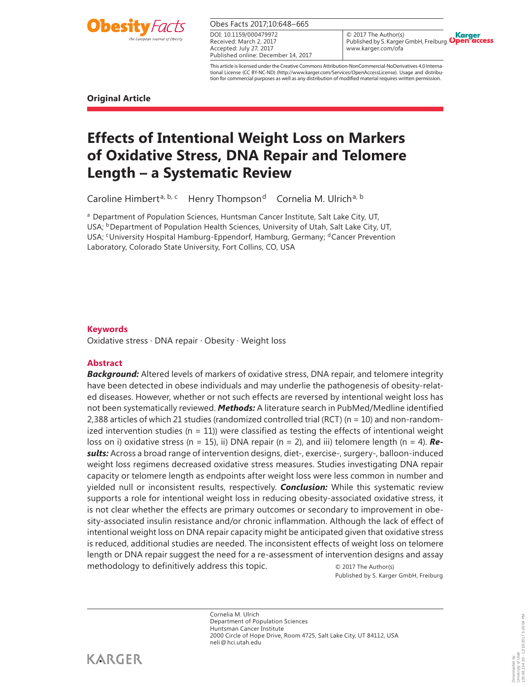

Obes Facts 2017;10:648–665

Received: March 2, 2017 Accepted: July 27, 2017 Published online: December 14, 2017 DOI: 10.1159/000479972

© 2017 The Author(s) Karger<br>)pen access Published by S. Karger GmbH, Freiburg Open www.karger.com/ofa

This article is licensed under the Creative Commons Attribution-NonCommercial-NoDerivatives 4.0 International License (CC BY-NC-ND) (http://www.karger.com/Services/OpenAccessLicense). Usage and distribution for commercial purposes as well as any distribution of modified material requires written permission.

**Original Article** 

# **Effects of Intentional Weight Loss on Markers of Oxidative Stress, DNA Repair and Telomere Length – a Systematic Review**

Caroline Himbert<sup>a, b, c</sup> Henry Thompson<sup>d</sup> Cornelia M. Ulrich<sup>a, b</sup>

<sup>a</sup> Department of Population Sciences, Huntsman Cancer Institute, Salt Lake City, UT, USA; <sup>b</sup>Department of Population Health Sciences, University of Utah, Salt Lake City, UT, USA; CUniversity Hospital Hamburg-Eppendorf, Hamburg, Germany; dCancer Prevention Laboratory, Colorado State University, Fort Collins, CO, USA

## **Keywords**

Oxidative stress · DNA repair · Obesity · Weight loss

### **Abstract**

*Background:* Altered levels of markers of oxidative stress, DNA repair, and telomere integrity have been detected in obese individuals and may underlie the pathogenesis of obesity-related diseases. However, whether or not such effects are reversed by intentional weight loss has not been systematically reviewed. *Methods:* A literature search in PubMed/Medline identified 2,388 articles of which 21 studies (randomized controlled trial (RCT) (n = 10) and non-randomized intervention studies ( $n = 11$ )) were classified as testing the effects of intentional weight loss on i) oxidative stress (n = 15), ii) DNA repair (n = 2), and iii) telomere length (n = 4). *Results:* Across a broad range of intervention designs, diet-, exercise-, surgery-, balloon-induced weight loss regimens decreased oxidative stress measures. Studies investigating DNA repair capacity or telomere length as endpoints after weight loss were less common in number and yielded null or inconsistent results, respectively. *Conclusion:* While this systematic review supports a role for intentional weight loss in reducing obesity-associated oxidative stress, it is not clear whether the effects are primary outcomes or secondary to improvement in obesity-associated insulin resistance and/or chronic inflammation. Although the lack of effect of intentional weight loss on DNA repair capacity might be anticipated given that oxidative stress is reduced, additional studies are needed. The inconsistent effects of weight loss on telomere length or DNA repair suggest the need for a re-assessment of intervention designs and assay methodology to definitively address this topic.  $\circ$  2017 The Author(s)

Published by S. Karger GmbH, Freiburg

Cornelia M. Ulrich Department of Population Sciences Huntsman Cancer Institute 2000 Circle of Hope Drive, Room 4725, Salt Lake City, UT 84112, USA neli @ hci.utah.edu

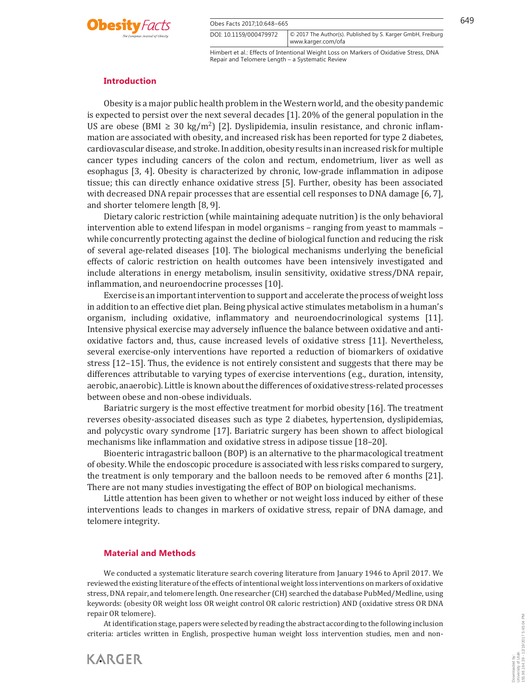



DOI: 10.1159/000479972 www.karger.com/ofa © 2017 The Author(s). Published by S. Karger GmbH, Freiburg

Himbert et al.: Effects of Intentional Weight Loss on Markers of Oxidative Stress, DNA Repair and Telomere Length – a Systematic Review

#### **Introduction**

 Obesity is a major public health problem in the Western world, and the obesity pandemic is expected to persist over the next several decades [1] . 20% of the general population in the US are obese (BMI  $\geq$  30 kg/m<sup>2</sup>) [2]. Dyslipidemia, insulin resistance, and chronic inflammation are associated with obesity, and increased risk has been reported for type 2 diabetes, cardiovascular disease, and stroke. In addition, obesity results in an increased risk for multiple cancer types including cancers of the colon and rectum, endometrium, liver as well as esophagus [3, 4] . Obesity is characterized by chronic, low-grade inflammation in adipose tissue; this can directly enhance oxidative stress [5] . Further, obesity has been associated with decreased DNA repair processes that are essential cell responses to DNA damage [6, 7], and shorter telomere length [8, 9] .

 Dietary caloric restriction (while maintaining adequate nutrition) is the only behavioral intervention able to extend lifespan in model organisms – ranging from yeast to mammals – while concurrently protecting against the decline of biological function and reducing the risk of several age-related diseases [10] . The biological mechanisms underlying the beneficial effects of caloric restriction on health outcomes have been intensively investigated and include alterations in energy metabolism, insulin sensitivity, oxidative stress/DNA repair, inflammation, and neuroendocrine processes [10].

 Exercise is an important intervention to support and accelerate the process of weight loss in addition to an effective diet plan. Being physical active stimulates metabolism in a human's organism, including oxidative, inflammatory and neuroendocrinological systems [11] . Intensive physical exercise may adversely influence the balance between oxidative and antioxidative factors and, thus, cause increased levels of oxidative stress [11] . Nevertheless, several exercise-only interventions have reported a reduction of biomarkers of oxidative stress [12–15] . Thus, the evidence is not entirely consistent and suggests that there may be differences attributable to varying types of exercise interventions (e.g., duration, intensity, aerobic, anaerobic). Little is known about the differences of oxidative stress-related processes between obese and non-obese individuals.

 Bariatric surgery is the most effective treatment for morbid obesity [16] . The treatment reverses obesity-associated diseases such as type 2 diabetes, hypertension, dyslipidemias, and polycystic ovary syndrome [17] . Bariatric surgery has been shown to affect biological mechanisms like inflammation and oxidative stress in adipose tissue [18–20] .

 Bioenteric intragastric balloon (BOP) is an alternative to the pharmacological treatment of obesity. While the endoscopic procedure is associated with less risks compared to surgery, the treatment is only temporary and the balloon needs to be removed after 6 months [21] . There are not many studies investigating the effect of BOP on biological mechanisms.

 Little attention has been given to whether or not weight loss induced by either of these interventions leads to changes in markers of oxidative stress, repair of DNA damage, and telomere integrity.

#### **Material and Methods**

 We conducted a systematic literature search covering literature from January 1946 to April 2017. We reviewed the existing literature of the effects of intentional weight loss interventions on markers of oxidative stress, DNA repair, and telomere length. One researcher (CH) searched the database PubMed/Medline, using keywords: (obesity OR weight loss OR weight control OR caloric restriction) AND (oxidative stress OR DNA repair OR telomere).

 At identification stage, papers were selected by reading the abstract according to the following inclusion criteria: articles written in English, prospective human weight loss intervention studies, men and non-

Downloaded by: University of Utah

155.98.164.39 - 12/19/2017 5:45:04 PM

Downloaded by:<br>University of Utah<br>155.98.164.39 - 12/19/2017 5:45:04 PM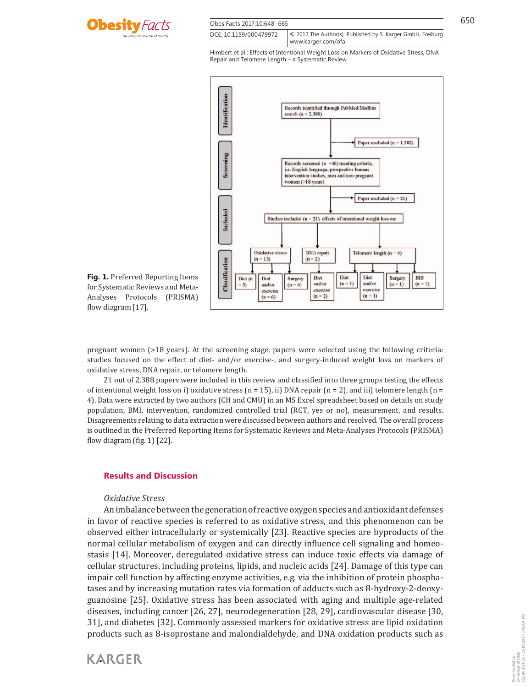

| Obes Facts 2017;10:648-665 |                                                                                    | 650 |
|----------------------------|------------------------------------------------------------------------------------|-----|
| DOI: 10.1159/000479972     | © 2017 The Author(s). Published by S. Karger GmbH, Freiburg<br>www.karger.com/ofal |     |



**Fig. 1.** Preferred Reporting ltems for Systematic Reviews and Meta-Analyses Protocols (PRISMA) flow diagram [17].

pregnant women (>18 years). At the screening stage, papers were selected using the following criteria: studies focused on the effect of diet- and/or exercise-, and surgery-induced weight loss on markers of oxidative stress, DNA repair, or telomere length.

 21 out of 2,388 papers were included in this review and classified into three groups testing the effects of intentional weight loss on i) oxidative stress  $(n = 15)$ , ii) DNA repair  $(n = 2)$ , and iii) telomere length  $(n = 15)$ 4). Data were extracted by two authors (CH and CMU) in an MS Excel spreadsheet based on details on study population, BMI, intervention, randomized controlled trial (RCT, yes or no), measurement, and results. Disagreements relating to data extraction were discussed between authors and resolved. The overall process is outlined in the Preferred Reporting Items for Systematic Reviews and Meta-Analyses Protocols (PRISMA) flow diagram (fig.  $1$ ) [22].

#### **Results and Discussion**

#### *Oxidative Stress*

**KARGER** 

 An imbalance between the generation of reactive oxygen species and antioxidant defenses in favor of reactive species is referred to as oxidative stress, and this phenomenon can be observed either intracellularly or systemically [23] . Reactive species are byproducts of the normal cellular metabolism of oxygen and can directly influence cell signaling and homeostasis [14] . Moreover, deregulated oxidative stress can induce toxic effects via damage of cellular structures, including proteins, lipids, and nucleic acids [24] . Damage of this type can impair cell function by affecting enzyme activities, e.g. via the inhibition of protein phosphatases and by increasing mutation rates via formation of adducts such as 8-hydroxy-2-deoxyguanosine [25] . Oxidative stress has been associated with aging and multiple age-related diseases, including cancer [26, 27] , neurodegeneration [28, 29] , cardiovascular disease [30, 31] , and diabetes [32] . Commonly assessed markers for oxidative stress are lipid oxidation products such as 8-isoprostane and malondialdehyde, and DNA oxidation products such as

# Downloaded by:<br>University of Utah<br>155.98.164.39 - 12/19/2017 5:45:04 PM 155.98.164.39 - 12/19/2017 5:45:04 PMUniversity of Utah Downloaded by: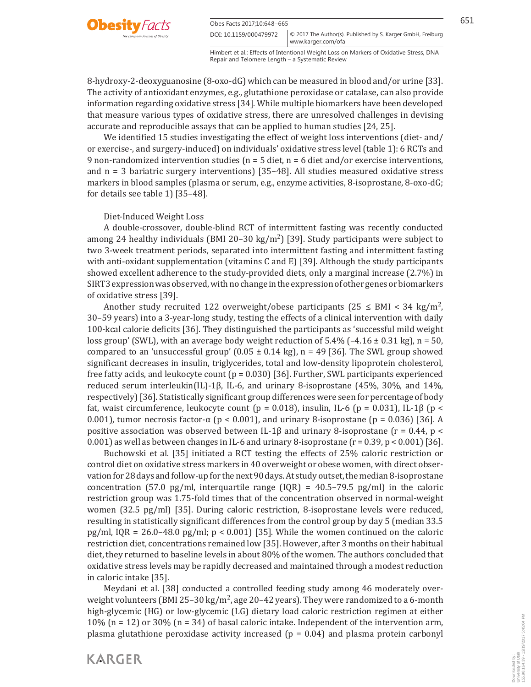

Obes Facts 2017:10:648–665 DOI: 10.1159/000479972

Himbert et al.: Effects of Intentional Weight Loss on Markers of Oxidative Stress, DNA Repair and Telomere Length – a Systematic Review www.karger.com/ofa

© 2017 The Author(s). Published by S. Karger GmbH, Freiburg

8-hydroxy-2-deoxyguanosine (8-oxo-dG) which can be measured in blood and/or urine [33] . The activity of antioxidant enzymes, e.g., glutathione peroxidase or catalase, can also provide information regarding oxidative stress [34] . While multiple biomarkers have been developed that measure various types of oxidative stress, there are unresolved challenges in devising accurate and reproducible assays that can be applied to human studies [24, 25] .

 We identified 15 studies investigating the effect of weight loss interventions (diet- and/ or exercise-, and surgery-induced) on individuals' oxidative stress level ( table 1 ): 6 RCTs and 9 non-randomized intervention studies ( $n = 5$  diet,  $n = 6$  diet and/or exercise interventions, and  $n = 3$  bariatric surgery interventions) [35–48]. All studies measured oxidative stress markers in blood samples (plasma or serum, e.g., enzyme activities, 8-isoprostane, 8-oxo-dG; for details see table 1)  $[35-48]$ .

#### Diet-Induced Weight Loss

 A double-crossover, double-blind RCT of intermittent fasting was recently conducted among 24 healthy individuals (BMI 20–30 kg/m<sup>2</sup>) [39]. Study participants were subject to two 3-week treatment periods, separated into intermittent fasting and intermittent fasting with anti-oxidant supplementation (vitamins C and E) [39]. Although the study participants showed excellent adherence to the study-provided diets, only a marginal increase (2.7%) in SIRT3 expression was observed, with no change in the expression of other genes or biomarkers of oxidative stress [39] .

Another study recruited 122 overweight/obese participants (25  $\leq$  BMI  $\lt$  34 kg/m<sup>2</sup>, 30–59 years) into a 3-year-long study, testing the effects of a clinical intervention with daily 100-kcal calorie deficits [36] . They distinguished the participants as 'successful mild weight loss group' (SWL), with an average body weight reduction of  $5.4\%$  (-4.16  $\pm$  0.31 kg), n = 50, compared to an 'unsuccessful group'  $(0.05 \pm 0.14 \text{ kg})$ , n = 49 [36]. The SWL group showed significant decreases in insulin, triglycerides, total and low-density lipoprotein cholesterol, free fatty acids, and leukocyte count  $(p = 0.030)$  [36]. Further, SWL participants experienced reduced serum interleukin(IL)-1β, IL-6, and urinary 8-isoprostane (45%, 30%, and 14%, respectively) [36] . Statistically significant group differences were seen for percentage of body fat, waist circumference, leukocyte count (p = 0.018), insulin, IL-6 (p = 0.031), IL-1 $\beta$  (p < 0.001), tumor necrosis factor-α (p < 0.001), and urinary 8-isoprostane (p = 0.036) [36]. A positive association was observed between IL-1 $\beta$  and urinary 8-isoprostane (r = 0.44, p < 0.001) as well as between changes in IL-6 and urinary 8-isoprostane ( $r = 0.39$ ,  $p < 0.001$ ) [36].

 Buchowski et al. [35] initiated a RCT testing the effects of 25% caloric restriction or control diet on oxidative stress markers in 40 overweight or obese women, with direct observation for 28 days and follow-up for the next 90 days. At study outset, the median 8-isoprostane concentration (57.0 pg/ml, interquartile range (IQR) =  $40.5-79.5$  pg/ml) in the caloric restriction group was 1.75-fold times that of the concentration observed in normal-weight women (32.5 pg/ml) [35]. During caloric restriction, 8-isoprostane levels were reduced, resulting in statistically significant differences from the control group by day 5 (median 33.5 pg/ml, IQR =  $26.0-48.0$  pg/ml; p < 0.001) [35]. While the women continued on the caloric restriction diet, concentrations remained low [35] . However, after 3 months on their habitual diet, they returned to baseline levels in about 80% of the women. The authors concluded that oxidative stress levels may be rapidly decreased and maintained through a modest reduction in caloric intake [35] .

 Meydani et al. [38] conducted a controlled feeding study among 46 moderately overweight volunteers (BMI 25-30 kg/m<sup>2</sup>, age 20-42 years). They were randomized to a 6-month high-glycemic (HG) or low-glycemic (LG) dietary load caloric restriction regimen at either 10% (n = 12) or 30% (n = 34) of basal caloric intake. Independent of the intervention arm, plasma glutathione peroxidase activity increased ( $p = 0.04$ ) and plasma protein carbonyl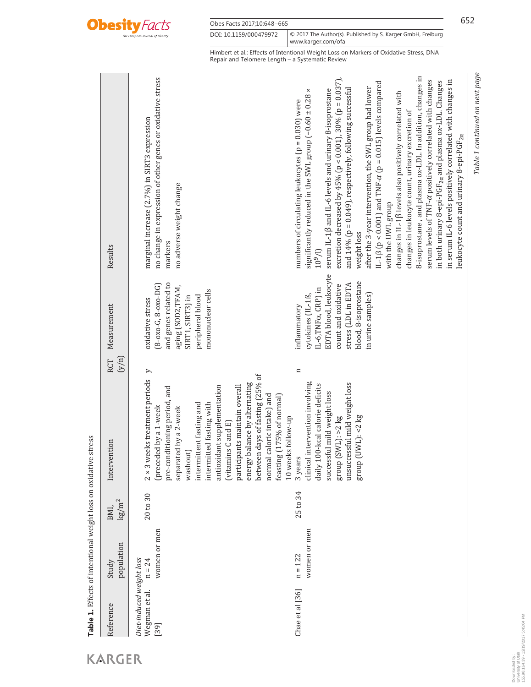

| Obes Facts 2017;10:648-665 |                                                                                   | 652 |
|----------------------------|-----------------------------------------------------------------------------------|-----|
| DOI: 10.1159/000479972     | © 2017 The Author(s). Published by S. Karger GmbH, Freiburg<br>www.karger.com/ofa |     |

| Reference                                         | population<br>Study       | $\mathrm{kg}/\mathrm{m}^2$<br>BMI, | Intervention                                                                                                                                                                                                                                                                                                                                                                                                                              | Measurement<br>(y/n)<br>RCT                                                                                                                                                  | Results                                                                                                                                                                                                                                                                                                                                                                                                                                                                                                                                                                                                                                                                                                                                                                                                                                                                                                                                                  |
|---------------------------------------------------|---------------------------|------------------------------------|-------------------------------------------------------------------------------------------------------------------------------------------------------------------------------------------------------------------------------------------------------------------------------------------------------------------------------------------------------------------------------------------------------------------------------------------|------------------------------------------------------------------------------------------------------------------------------------------------------------------------------|----------------------------------------------------------------------------------------------------------------------------------------------------------------------------------------------------------------------------------------------------------------------------------------------------------------------------------------------------------------------------------------------------------------------------------------------------------------------------------------------------------------------------------------------------------------------------------------------------------------------------------------------------------------------------------------------------------------------------------------------------------------------------------------------------------------------------------------------------------------------------------------------------------------------------------------------------------|
| Diet-induced weight loss<br>Wegman et al.<br>[39] | women or men<br>$n = 24$  | 20 to 30                           | $2 \times 3$ weeks treatment periods $y$<br>between days of fasting (25% of<br>energy balance by alternating<br>antioxidant supplementation<br>participants maintain overall<br>pre-conditioning period, and<br>normal caloric intake) and<br>feasting (175% of normal)<br>intermittent fasting and<br>intermitted fasting with<br>(preceded by a 1-week<br>separated by a 2-week<br>10 weeks follow-up<br>(vitamins C and E)<br>washout) | and genes related to<br>$(8 - 0x0 - G, 8 - 0x0 - DG)$<br>aging (SOD2,TFAM,<br>mononuclear cells<br>SIRT1, SIRT3) in<br>peripheral blood<br>oxidative stress                  | no change in expression of other genes or oxidative stress<br>marginal increase (2.7%) in SIRT3 expression<br>no adverse weight change<br>markers                                                                                                                                                                                                                                                                                                                                                                                                                                                                                                                                                                                                                                                                                                                                                                                                        |
| Chae et al [36]                                   | women or men<br>$n = 122$ | 25 to 34                           | $\mathbf{u}$<br>clinical intervention involving<br>unsuccessful mild weight loss<br>daily 100-kcal calorie deficits<br>successful mild weight loss<br>$(SWL):$ >2 kg<br>$UWL$ ): < $2$ kg<br>3 years<br>eroup<br>group                                                                                                                                                                                                                    | EDTA blood, leukocyte<br>blood, 8-isoprostane<br>stress (LDL in EDTA<br>count and oxidative<br>IL-6, TNFα, CRP) in<br>in urine samples)<br>cytokines (IL-1ß,<br>inflammatory | 8-isoprostane, and plasma ox-LDL. In addition, changes in<br>excretion decreased by 45% (p < 0.001), 30% (p = 0.037),<br>serum levels of TNF-a positively correlated with changes<br>in serum IL-6 levels positively correlated with changes in<br>in both urinary 8-epi-PGF <sub>2a</sub> and plasma ox-LDL. Changes<br>IL-1 $\beta$ (p < 0.001) and TNF- $\alpha$ (p = 0.015) levels compared<br>and 14% (p = 0.049), respectively, following successful<br>after the 3-year intervention, the SWL group had lower<br>serum IL-1 $\beta$ and IL-6 levels and urinary 8-isoprostane<br>$\boldsymbol{\times}$<br>changes in IL-1ß levels also positively correlated with<br>significantly reduced in the SWL group (-0.60 ± 0.28<br>numbers of circulating leukocytes ( $p = 0.030$ ) were<br>changes in leukocyte count, urinary excretion of<br>leukocyte count and urinary 8-epi-PGF <sub>2a</sub><br>with the UWL group<br>weight loss<br>$10^{9}/l$ |

Table 1. Effects of intentional weight loss on oxidative stress **Table 1.** Effects of intentional weight loss on oxidative stress

*Table 1 continued on next page*

Table 1 continued on next page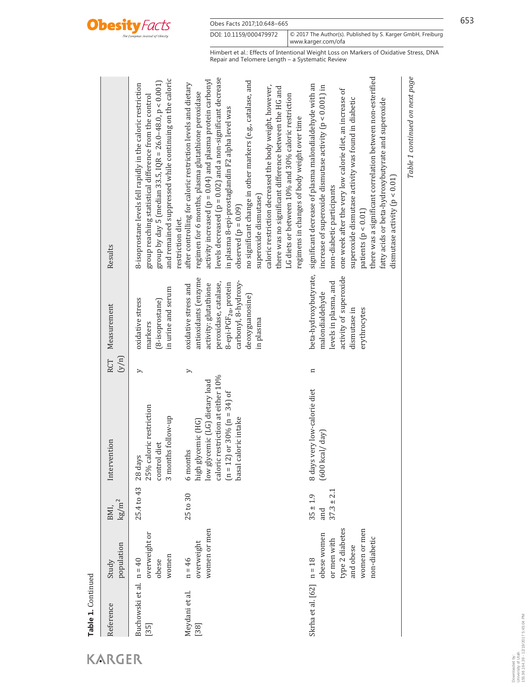

| Reference                         | population<br>Study                                                                        | $\text{kg/m}^2$<br>BMI,               | Intervention                                                                                                                                                              | (y/n)<br>RCT  | Measurement                                                                                                                                                                                 | Results                                                                                                                                                                                                                                                                                                                                                                                                                                                                                                                                                                                                                                               |
|-----------------------------------|--------------------------------------------------------------------------------------------|---------------------------------------|---------------------------------------------------------------------------------------------------------------------------------------------------------------------------|---------------|---------------------------------------------------------------------------------------------------------------------------------------------------------------------------------------------|-------------------------------------------------------------------------------------------------------------------------------------------------------------------------------------------------------------------------------------------------------------------------------------------------------------------------------------------------------------------------------------------------------------------------------------------------------------------------------------------------------------------------------------------------------------------------------------------------------------------------------------------------------|
| Buchowski et al. n = 40<br>$[35]$ | overweight or<br>women<br>obese                                                            | 25.4 to 43                            | 25% caloric restriction<br>3 months follow-up<br>control diet<br>28 days                                                                                                  | $\rightarrow$ | in urine and serum<br>oxidative stress<br>(8-isoprostane)<br>markers                                                                                                                        | and remained suppressed while continuing on the caloric<br>group by day 5 (median 33.5, IQR = 26.0-48.0, $p < 0.001$ )<br>8-isoprostane levels fell rapidly in the caloric restriction<br>group reaching statistical difference from the control<br>restriction diet.                                                                                                                                                                                                                                                                                                                                                                                 |
| Meydani et al.<br>$[38]$          | women or men<br>overweight<br>$n = 46$                                                     | 25 to 30                              | caloric restriction at either 10%<br>low glycemic (LG) dietary load<br>2) or $30\%$ (n = $34$ ) of<br>basal caloric intake<br>high glycemic (HG)<br>6 months<br>$(n = 1)$ | >             | antioxidants (enzyme<br>carbonyl, 8-hydroxy-<br>peroxidase, catalase,<br>8-epi-PGF <sub>2a</sub> , protein<br>activity: glutathione<br>oxidative stress and<br>deoxyguanosine)<br>in plasma | levels decreased $(p = 0.02)$ and a non-significant decrease<br>activity increased ( $p = 0.04$ ) and plasma protein carbonyl<br>no significant change in other markers (e.g., catalase, and<br>after controlling for caloric restriction levels and dietary<br>caloric restriction decreased the body weight, however,<br>there was no significant difference between the HG and<br>regimen for 6 months, plasma glutathione peroxidase<br>LG diets or between 10% and 30% caloric restriction<br>in plasma 8-epi-prostaglandin F2 alpha level was<br>regimens in changes of body weight over time<br>superoxide dismutase)<br>observed $(p = 0.09)$ |
| Skrha et al. $[62]$ $n = 18$      | type 2 diabetes<br>women or men<br>obese women<br>non-diabetic<br>or men with<br>and obese | $37.3 \pm 2.1$<br>$35 \pm 1.9$<br>and | 8 days very low-calorie diet<br>kcal/day)<br><b>600</b>                                                                                                                   | $\mathbf{u}$  | beta-hydroxybutyrate,<br>activity of superoxide<br>levels in plasma, and<br>malondialdehyde<br>dismutase in<br>erythrocytes                                                                 | there was a significant correlation between non-esterified<br>significant decrease of plasma malondialdehyde with an<br>increase of superoxide dismutase activity ( $p < 0.001$ ) in<br>one week after the very low calorie diet, an increase of<br>superoxide dismutase activity was found in diabetic<br>fatty acids or beta-hydroxybutyrate and superoxide<br>dismutase activity ( $p < 0.01$ )<br>non-diabetic participants<br>patients $(p < 0.01)$                                                                                                                                                                                              |
|                                   |                                                                                            |                                       |                                                                                                                                                                           |               |                                                                                                                                                                                             | Table 1 continued on next page                                                                                                                                                                                                                                                                                                                                                                                                                                                                                                                                                                                                                        |

**Table 1.** Continued

Table 1. Continued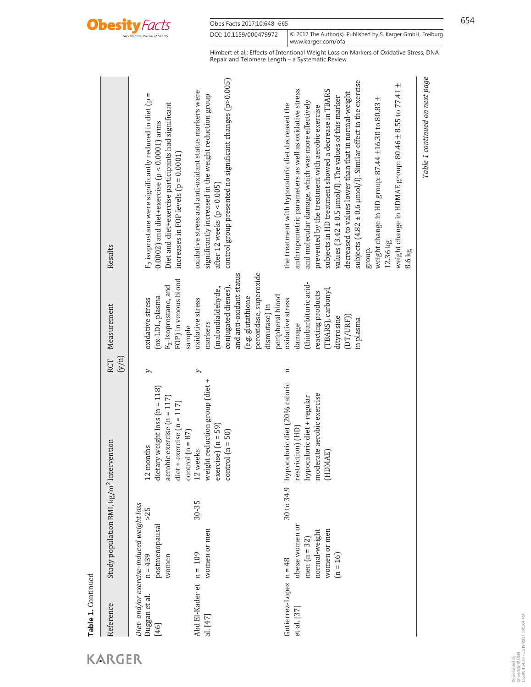

Obes Facts 2017;10:648-665 654

Himbert et al.: Effects of Intentional Weight Loss on Markers of Oxidative Stress, DNA Repair and Telomere Length – a Systematic Review

| Reference                               | Study population BMI, kg/m <sup>2</sup> Intervention                                      |                                                                                                                                                 | (y/n)<br>RCT  | Measurement                                                                                                                                                        | Results                                                                                                                                                                                                                                                                                                                                                                                                                                                                                                                                                                                                                                                             |
|-----------------------------------------|-------------------------------------------------------------------------------------------|-------------------------------------------------------------------------------------------------------------------------------------------------|---------------|--------------------------------------------------------------------------------------------------------------------------------------------------------------------|---------------------------------------------------------------------------------------------------------------------------------------------------------------------------------------------------------------------------------------------------------------------------------------------------------------------------------------------------------------------------------------------------------------------------------------------------------------------------------------------------------------------------------------------------------------------------------------------------------------------------------------------------------------------|
| Duggan et al.<br>$[46]$                 | Diet- and/or exercise-induced weight loss<br>> 25<br>postmenopausal<br>$n = 439$<br>women | dietary weight loss $(n = 118)$<br>aerobic exercise $(n = 117)$<br>diet + exercise $(n = 117)$<br>$control(n = 87)$<br>ronths<br>$12 \text{ m}$ | $\rightarrow$ | FOP) in venous blood<br>F <sub>2</sub> -isoprostane, and<br>(ox-LDL, plasma<br>oxidative stress<br>sample                                                          | $F_2$ isoprostane were significantly reduced in diet (p =<br>Diet and diet+exercise participants had significant<br>$0.0002$ ) and diet+exercise ( $p < 0.0001$ ) arms<br>increases in FOP levels $(p = 0.0001)$                                                                                                                                                                                                                                                                                                                                                                                                                                                    |
| Abd El-Kader et n = 109<br>al. [47]     | 30-35<br>women or men                                                                     | weight reduction group (diet +<br>$exercise) (n = 59)$<br>control $(n = 50)$<br>12 weeks                                                        | ⋋             | peroxidase, superoxide<br>and anti-oxidant status<br>conjugated dienes),<br>(malondialdehyde,<br>(e.g. glutathione<br>oxidative stress<br>dismutase) in<br>markers | control group presented no significant changes (p>0.005)<br>oxidative stress and anti-oxidant status markers were<br>significantly increased in the weight reduction group<br>after 12 weeks $(p < 0.005)$                                                                                                                                                                                                                                                                                                                                                                                                                                                          |
| Gutierrez-Lopez $n = 48$<br>et al. [37] | obese women or<br>women or men<br>normal-weight<br>men $(n = 32)$<br>$(n = 16)$           | hypocaloric diet (20% caloric<br>moderate aerobic exercise<br>hypocaloric diet + regular<br>restriction) (HD<br>(HDMAE)<br>30 to 34.9           | $\mathbf{a}$  | (thiobarbituric acid-<br>(TBARS), carbonyl,<br>reacting products<br>peripheral blood<br>oxidative stress<br>(DT/URF))<br>dityrosine<br>in plasma<br>damage         | subjects $(4.82 \pm 0.6 \,\mu\text{mol}/\text{J})$ . Similar effect in the exercise<br>weight change in HDMAE group: $80.46 \pm 8.55$ to 77.41 $\pm$<br>anthropometric parameters as well as oxidative stress<br>subjects in HD treatment showed a decrease in TBARS<br>decreased to values lower than that in normal-weight<br>values $(3.42 \pm 0.5 \,\mu\text{mol}/l)$ . The values of this marker<br>weight change in HD group: $87.44 \pm 16.30$ to $80.83 \pm$<br>and molecular damage, which was more effectively<br>the treatment with hypocaloric diet decreased the<br>prevented by the treatment with aerobic exercise<br>12.36 kg<br>group.<br>$8.6$ kg |
|                                         |                                                                                           |                                                                                                                                                 |               |                                                                                                                                                                    | Table 1 continued on next page                                                                                                                                                                                                                                                                                                                                                                                                                                                                                                                                                                                                                                      |

**Table 1.** Continued

Table 1. Continued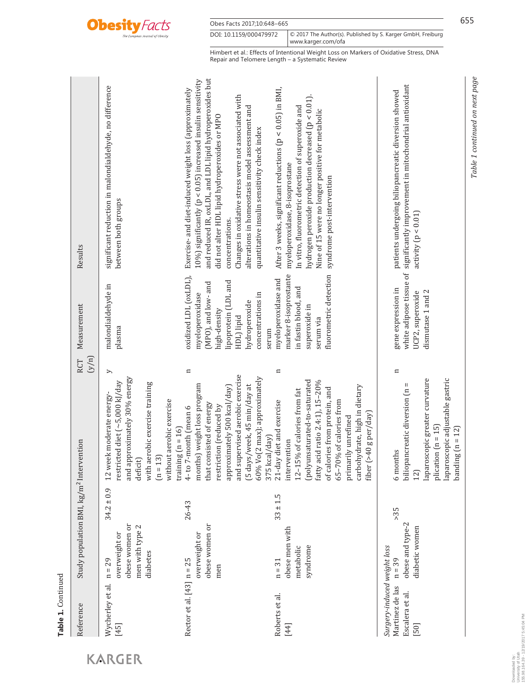

Obes Facts 2017;10:648-665 655 DOI: 10.1159/000479972 www.karger.com/ofa © 2017 The Author(s). Published by S. Karger GmbH, Freiburg

Himbert et al.: Effects of Intentional Weight Loss on Markers of Oxidative Stress, DNA Repair and Telomere Length – a Systematic Review

| Reference                                                                 | Study population BMI, kg/m <sup>2</sup> Intervention                       |                |                                                                                                                                                                                                                                                                                          | (y/n)<br><b>RCT</b> | Measurement                                                                                                                                                          | Results                                                                                                                                                                                                                                                                                                                                                                                                            |
|---------------------------------------------------------------------------|----------------------------------------------------------------------------|----------------|------------------------------------------------------------------------------------------------------------------------------------------------------------------------------------------------------------------------------------------------------------------------------------------|---------------------|----------------------------------------------------------------------------------------------------------------------------------------------------------------------|--------------------------------------------------------------------------------------------------------------------------------------------------------------------------------------------------------------------------------------------------------------------------------------------------------------------------------------------------------------------------------------------------------------------|
| Wycherley et al.<br>$[45]$                                                | obese women or<br>men with type 2<br>overweight or<br>diabetes<br>$n = 29$ | $34.2 \pm 0.9$ | and approximately 30% energy<br>restricted diet (~5,000 kJ/day<br>with aerobic exercise training<br>12 week moderate energy-<br>without aerobic exercise<br>training $(n = 16)$<br>$(n = 13)$<br>deficit)                                                                                | $\geq$              | malondialdehyde in<br>plasma                                                                                                                                         | significant reduction in malondialdehyde, no difference<br>between both groups                                                                                                                                                                                                                                                                                                                                     |
| Rector et al. $[43]$ n = 25                                               | obese women or<br>overweight or<br>men                                     | 26-43          | and supervised aerobic exercise<br>60% Vo(2 max); approximately<br>months) weight loss program<br>[5 days/week, 45 min/day at<br>approximately 500 kcal/day)<br>that consisted of energy<br>restriction (reduced by<br>4-to 7-month (mean 6<br>375 kcal/day)                             | $\mathbf{u}$        | oxidized LDL (oxLDL),<br>lipoprotein (LDL and<br>(MPO), and low- and<br>concentrations in<br>myeloperoxidase<br>hydroperoxide<br>high-density<br>HDL) lipid<br>serum | and reduced IR, oxLDL, and LDL lipid hydroperoxides but<br>10%) significantly ( $p < 0.05$ ) increased insulin sensitivity<br>Exercise- and diet-induced weight loss (approximately<br>Changes in oxidative stress were not associated with<br>alterations in homeostasis model assessment and<br>did not alter HDL lipid hydroperoxides or MPO<br>quantitative insulin sensitivity check index<br>concentrations. |
| Roberts et al.<br>[44]                                                    | obese men with<br>syndrome<br>metabolic<br>$n = 31$                        | $33 \pm 1.5$   | [polyunsaturated-to-saturated<br>fatty acid ratio 2.4:1), 15-20%<br>carbohydrate, high in dietary<br>of calories from protein, and<br>12-15% of calories from fat<br>65-70% of calories from<br>21-day diet and exercise<br>fiber (>40 g per/day)<br>primarily unrefined<br>intervention | $\mathbf{a}$        | fluorometric detection<br>marker 8-isoprostante<br>myeloperoxidase and<br>in fastin blood, and<br>superoxide in<br>serum via                                         | After 3 weeks, significant reductions $(p < 0.05)$ in BMI,<br>hydrogen peroxide production decreased $(p < 0.01)$ .<br>In vitro, fluorometric detection of superoxide and<br>Nine of 15 were no longer positive for metabolic<br>myeloperoxidase, 8-isoprostane<br>syndrome post-intervention                                                                                                                      |
| Surgery-induced weight loss<br>Martinez de las<br>Escalera et al.<br>[50] | obese and type-2<br>diabetic women<br>$n = 39$                             | > 35           | laparoscopic greater curvature<br>laparoscopic adjustable gastric<br>biliopancreatic diversion (n =<br>plication $(n = 15)$<br>banding $(n = 12)$<br>6 months<br>12)                                                                                                                     | $\mathbf{a}$        | white adipose tissue of<br>gene expression in<br>dismutase 1 and 2<br>UCP2, superoxide                                                                               | significantly improvement in mitochondrial antioxidant<br>patients undergoing biliopancreatic diversion showed<br>activity $(p < 0.01)$                                                                                                                                                                                                                                                                            |

Table 1. Continued **Table 1.** Continued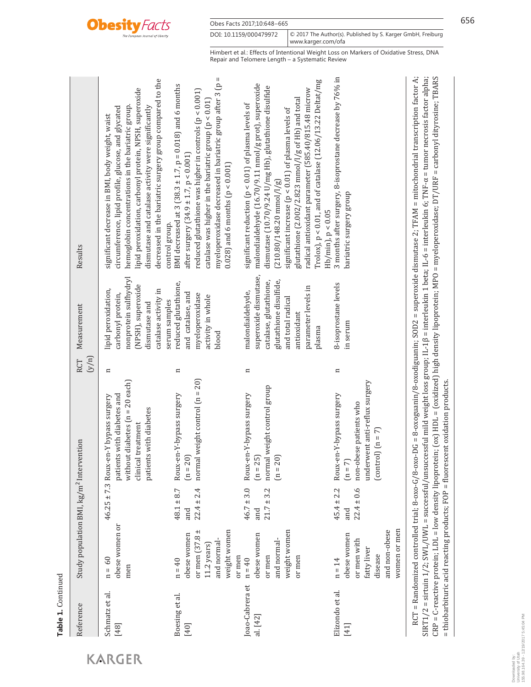

| Reference                   | Study population BMI, kg/m <sup>2</sup> Intervention                                              |                                         |                                                                                                                                                            | (y/n)<br>RCT | Measurement                                                                                                                                                        | Results                                                                                                                                                                                                                                                                                                                                                                                                                                             |
|-----------------------------|---------------------------------------------------------------------------------------------------|-----------------------------------------|------------------------------------------------------------------------------------------------------------------------------------------------------------|--------------|--------------------------------------------------------------------------------------------------------------------------------------------------------------------|-----------------------------------------------------------------------------------------------------------------------------------------------------------------------------------------------------------------------------------------------------------------------------------------------------------------------------------------------------------------------------------------------------------------------------------------------------|
| Schmatz et al.<br>$[48]$    | obese women or<br>$n = 60$<br>men                                                                 |                                         | without diabetes $(n = 20$ each)<br>patients with diabetes and<br>$46.25 \pm 7.3$ Roux-en-Y bypass surgery<br>patients with diabetes<br>clinical treatment | $\mathbf{u}$ | nonprotein sulfhydryl<br>(NPSH), superoxide<br>catalase activity in<br>lipid peroxidation,<br>carbonyl protein,<br>dismutase and                                   | decreased in the bariatric surgery group compared to the<br>lipid peroxidation, carbonyl protein, NPSH, superoxide<br>hemoglobin concentrations in the bariatric group.<br>dismutase and catalase activity were significantly<br>circumference, lipid profile, glucose, and glycated<br>significant decrease in BMI, body weight, waist                                                                                                             |
| Boesing et al.<br>$[40]$    | or men $(37.8 \pm$<br>weight women<br>obese women<br>and normal<br>$11.2$ years<br>$n = 40$       | $22.4 \pm 2.4$<br>$48.1 \pm 8.7$<br>and | normal weight control $(n = 20)$<br>Roux-en-Y-bypass surgery<br>$(n = 20)$                                                                                 | $\mathbf{a}$ | reduced glutathione,<br>and catalase, and<br>myeloperoxidase<br>activity in whole<br>serum samples<br>blood                                                        | myeloperoxidase decreased in bariatric group after 3 (p =<br>BMI decreased at $3(38.3 \pm 1.7, p = 0.018)$ and 6 months<br>reduced glutathione was higher in controls (p < 0.001)<br>catalase was higher in the bariatric group ( $p < 0.01$ )<br>after surgery $(34.9 \pm 1.7, p < 0.001)$<br>$(0.028)$ and 6 months (p < 0.001)<br>control group.                                                                                                 |
| loao-Cabrera et<br>al. [42] | weight women<br>obese women<br>and normal-<br>or men<br>or men<br>or men<br>$n = 40$              | $46.7 \pm 3.0$<br>$21.7 \pm 3.2$<br>and | normal weight control group<br>Roux-en-Y-bypass surgery<br>$(n = 25)$<br>$(n = 20)$                                                                        | $\mathbf{u}$ | superoxide dismutase,<br>glutathione disulfide,<br>catalase, glutathione,<br>parameter levels in<br>malondialdehyde,<br>and total radical<br>antioxidant<br>plasma | Trolox), $p < 0.01$ , and of catalase (12.06/13.22 Deltat/mg<br>malondialdehyde (16.70/9.11 nmol/g prot), superoxide<br>dismutase (10.70/9.24 U/mg Hb), glutathione disulfide<br>radical antioxidant parameter (585.40/815.48 microw<br>glutathione (2.002/2.823 mmol/l/g of Hb) and total<br>significant reduction $(p < 0.01)$ of plasma levels of<br>significant increase $(p < 0.01)$ of plasma levels of<br>$(210.80/148.20 \text{ mmol}/l/g)$ |
| Elizondo et al.<br>$[41]$   | women or men<br>and non-obese<br>obese women<br>or men with<br>fatty liver<br>disease<br>$n = 14$ | $45.4 \pm 2.2$<br>$22.4 \pm 0.6$<br>and | underwent anti-reflux surgery<br>Roux-en-Y-bypass surgery<br>non-obese patients who<br>$[control]$ $(n = 7]$<br>$(n = 7)$                                  | $\mathbf{u}$ | 8-isoprostane levels<br>in serum                                                                                                                                   | 3 months after surgery, 8-isoprostane decrease by 76% in<br>bariatric surgery group<br>$Hb/min$ , $p < 0.05$                                                                                                                                                                                                                                                                                                                                        |

RCT = Randomized controlled trial; 8-oxo-G/8-oxo-DG = 8-oxoguanin/8-oxodiguanin; SOD2 = superoxide dismutase 2; TFAM = mitochondrial transcription factor A; RCT = Randomized controlled trial; 8-oxo-G/8-oxo-DG = 8-oxoguanin/8-oxodiguanin; SOD2 = superoxide dismutase 2; TFAM = mitochondrial transcription factor A; SIRT1/2 = sirtuin 1/2; SWL/UWL = successful/unsuccessful mild weight loss group; IL-1β = interleukin 1 beta; IL-6 = interleukin 6; TNF-α = tumor necrosis factor alpha; SIRT1/2 = sirtuin 1/2; SWL/UWL = successful/unsuccessful mild weight loss group; IL-1β = interleukin 1 beta; IL-6 = interleukin 6; TNF-α = tumor necrosis factor alpha; CRP = C-reactive protein; LDL = low density lipoprotein; (ox) HDL = (oxidized) high density lipoprotein; MPO = myeloperoxidase; DT/URF = carbonyl dityrosine; TBARS CRP = C-reactive protein; LDL = low density lipoprotein; (ox) HDL = (oxidized) high density lipoprotein; MPO = myeloperoxidase; DT/URF = carbonyl dityrosine; TBARS = thiobarbituric acid reacting products; FOP = fluorescent oxidation products. = thiobarbituric acid reacting products; FOP = fluorescent oxidation products.

**Obesity Facts** 

Obes Facts 2017;10:648–665 6566 656

Repair and Telomere Length – a Systematic Review

DOI: 10.1159/000479972 www.karger.com/ofa © 2017 The Author(s). Published by S. Karger GmbH, Freiburg

Himbert et al.: Effects of Intentional Weight Loss on Markers of Oxidative Stress, DNA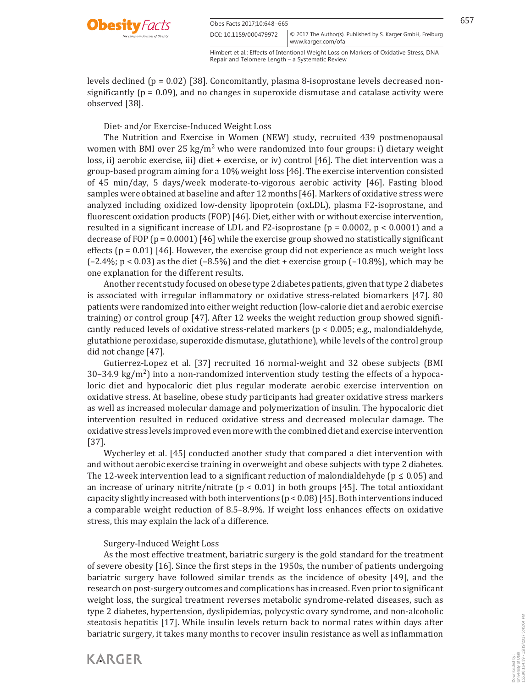

Obes Facts 2017;10:648–665 657 DOI: 10.1159/000479972

Himbert et al.: Effects of Intentional Weight Loss on Markers of Oxidative Stress, DNA Repair and Telomere Length – a Systematic Review

© 2017 The Author(s). Published by S. Karger GmbH, Freiburg

www.karger.com/ofa

levels declined ( $p = 0.02$ ) [38]. Concomitantly, plasma 8-isoprostane levels decreased nonsignificantly ( $p = 0.09$ ), and no changes in superoxide dismutase and catalase activity were observed [38].

Diet- and/or Exercise-Induced Weight Loss

 The Nutrition and Exercise in Women (NEW) study, recruited 439 postmenopausal women with BMI over 25 kg/m<sup>2</sup> who were randomized into four groups: i) dietary weight loss, ii) aerobic exercise, iii) diet + exercise, or iv) control [46]. The diet intervention was a group-based program aiming for a 10% weight loss [46] . The exercise intervention consisted of 45 min/day, 5 days/week moderate-to-vigorous aerobic activity [46] . Fasting blood samples were obtained at baseline and after 12 months [46] . Markers of oxidative stress were analyzed including oxidized low-density lipoprotein (oxLDL), plasma F2-isoprostane, and fluorescent oxidation products (FOP) [46] . Diet, either with or without exercise intervention, resulted in a significant increase of LDL and F2-isoprostane ( $p = 0.0002$ ,  $p < 0.0001$ ) and a decrease of FOP (p = 0.0001) [46] while the exercise group showed no statistically significant effects  $(p = 0.01)$  [46]. However, the exercise group did not experience as much weight loss  $(-2.4\%)$ ; p < 0.03) as the diet  $(-8.5\%)$  and the diet + exercise group  $(-10.8\%)$ , which may be one explanation for the different results.

 Another recent study focused on obese type 2 diabetes patients, given that type 2 diabetes is associated with irregular inflammatory or oxidative stress-related biomarkers [47]. 80 patients were randomized into either weight reduction (low-calorie diet and aerobic exercise training) or control group [47] . After 12 weeks the weight reduction group showed significantly reduced levels of oxidative stress-related markers ( $p < 0.005$ ; e.g., malondialdehyde, glutathione peroxidase, superoxide dismutase, glutathione), while levels of the control group did not change [47] .

 Gutierrez-Lopez et al. [37] recruited 16 normal-weight and 32 obese subjects (BMI  $30-34.9 \text{ kg/m}^2$ ) into a non-randomized intervention study testing the effects of a hypocaloric diet and hypocaloric diet plus regular moderate aerobic exercise intervention on oxidative stress. At baseline, obese study participants had greater oxidative stress markers as well as increased molecular damage and polymerization of insulin. The hypocaloric diet intervention resulted in reduced oxidative stress and decreased molecular damage. The oxidative stress levels improved even more with the combined diet and exercise intervention  $[37]$ .

 Wycherley et al. [45] conducted another study that compared a diet intervention with and without aerobic exercise training in overweight and obese subjects with type 2 diabetes. The 12-week intervention lead to a significant reduction of malondialdehyde ( $p \le 0.05$ ) and an increase of urinary nitrite/nitrate ( $p < 0.01$ ) in both groups [45]. The total antioxidant capacity slightly increased with both interventions ( $p < 0.08$ ) [45]. Both interventions induced a comparable weight reduction of 8.5–8.9%. If weight loss enhances effects on oxidative stress, this may explain the lack of a difference.

### Surgery-Induced Weight Loss

**KARGER** 

 As the most effective treatment, bariatric surgery is the gold standard for the treatment of severe obesity [16] . Since the first steps in the 1950s, the number of patients undergoing bariatric surgery have followed similar trends as the incidence of obesity [49], and the research on post-surgery outcomes and complications has increased. Even prior to significant weight loss, the surgical treatment reverses metabolic syndrome-related diseases, such as type 2 diabetes, hypertension, dyslipidemias, polycystic ovary syndrome, and non-alcoholic steatosis hepatitis [17] . While insulin levels return back to normal rates within days after bariatric surgery, it takes many months to recover insulin resistance as well as inflammation

Downloaded by: University of Utah

155.98.164.39 - 12/19/2017 5:45:04 PM

Downloaded by:<br>University of Utah<br>155.98.164.39 - 12/19/2017 5:45:04 PM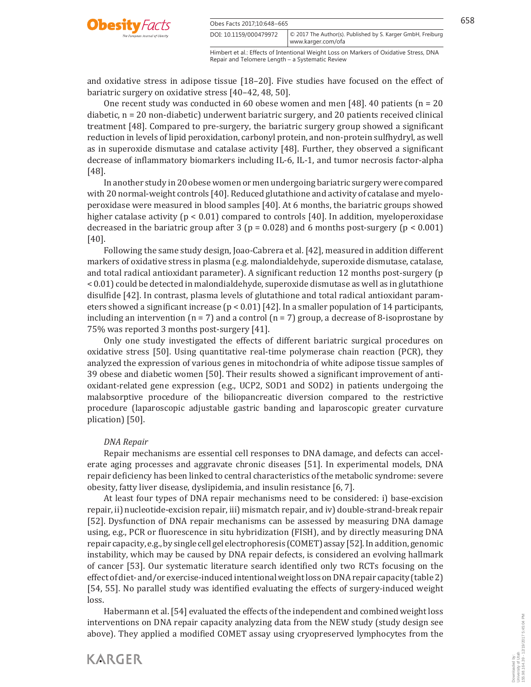

| Obes Facts 2017;10:648-665 |                                                                   | 658 |
|----------------------------|-------------------------------------------------------------------|-----|
| DOI: 10.1159/000479972     | $\circ$ 2017 The Author(s). Published by S. Karger GmbH, Freiburg |     |

Himbert et al.: Effects of Intentional Weight Loss on Markers of Oxidative Stress, DNA www.karger.com/ofa

Repair and Telomere Length – a Systematic Review

and oxidative stress in adipose tissue [18–20] . Five studies have focused on the effect of bariatric surgery on oxidative stress [40-42, 48, 50].

One recent study was conducted in 60 obese women and men [48]. 40 patients ( $n = 20$ diabetic, n = 20 non-diabetic) underwent bariatric surgery, and 20 patients received clinical treatment [48] . Compared to pre-surgery, the bariatric surgery group showed a significant reduction in levels of lipid peroxidation, carbonyl protein, and non-protein sulfhydryl, as well as in superoxide dismutase and catalase activity [48] . Further, they observed a significant decrease of inflammatory biomarkers including IL-6, IL-1, and tumor necrosis factor-alpha  $[48]$ .

 In another study in 20 obese women or men undergoing bariatric surgery were compared with 20 normal-weight controls [40] . Reduced glutathione and activity of catalase and myeloperoxidase were measured in blood samples [40] . At 6 months, the bariatric groups showed higher catalase activity ( $p < 0.01$ ) compared to controls [40]. In addition, myeloperoxidase decreased in the bariatric group after 3 ( $p = 0.028$ ) and 6 months post-surgery ( $p < 0.001$ )  $[40]$ .

 Following the same study design, Joao-Cabrera et al. [42] , measured in addition different markers of oxidative stress in plasma (e.g. malondialdehyde, superoxide dismutase, catalase, and total radical antioxidant parameter). A significant reduction 12 months post-surgery (p < 0.01) could be detected in malondialdehyde, superoxide dismutase as well as in glutathione disulfide [42] . In contrast, plasma levels of glutathione and total radical antioxidant parameters showed a significant increase ( $p < 0.01$ ) [42]. In a smaller population of 14 participants, including an intervention ( $n = 7$ ) and a control ( $n = 7$ ) group, a decrease of 8-isoprostane by 75% was reported 3 months post-surgery [41] .

 Only one study investigated the effects of different bariatric surgical procedures on oxidative stress [50] . Using quantitative real-time polymerase chain reaction (PCR), they analyzed the expression of various genes in mitochondria of white adipose tissue samples of 39 obese and diabetic women [50] . Their results showed a significant improvement of antioxidant-related gene expression (e.g., UCP2, SOD1 and SOD2) in patients undergoing the malabsorptive procedure of the biliopancreatic diversion compared to the restrictive procedure (laparoscopic adjustable gastric banding and laparoscopic greater curvature plication) [50].

### *DNA Repair*

 Repair mechanisms are essential cell responses to DNA damage, and defects can accelerate aging processes and aggravate chronic diseases [51] . In experimental models, DNA repair deficiency has been linked to central characteristics of the metabolic syndrome: severe obesity, fatty liver disease, dyslipidemia, and insulin resistance [6, 7] .

 At least four types of DNA repair mechanisms need to be considered: i) base-excision repair, ii) nucleotide-excision repair, iii) mismatch repair, and iv) double-strand-break repair [52] . Dysfunction of DNA repair mechanisms can be assessed by measuring DNA damage using, e.g., PCR or fluorescence in situ hybridization (FISH), and by directly measuring DNA repair capacity, e.g., by single cell gel electrophoresis (COMET) assay [52] . In addition, genomic instability, which may be caused by DNA repair defects, is considered an evolving hallmark of cancer [53] . Our systematic literature search identified only two RCTs focusing on the effect of diet- and/or exercise-induced intentional weight loss on DNA repair capacity ( table 2 ) [54, 55] . No parallel study was identified evaluating the effects of surgery-induced weight loss.

 Habermann et al. [54] evaluated the effects of the independent and combined weight loss interventions on DNA repair capacity analyzing data from the NEW study (study design see above). They applied a modified COMET assay using cryopreserved lymphocytes from the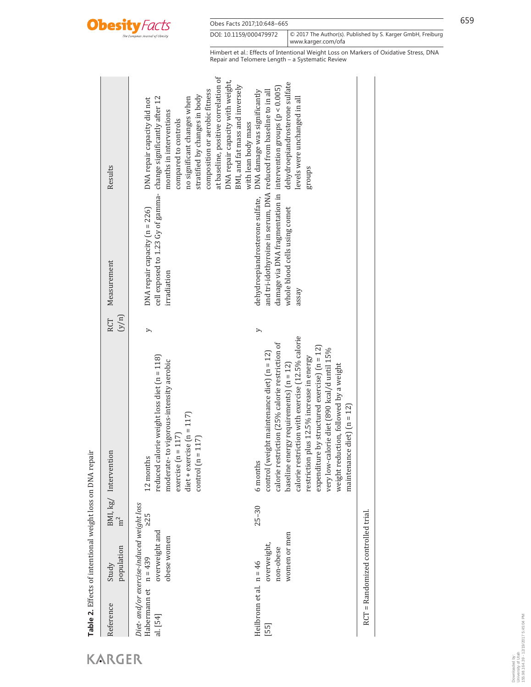

| Reference                                    | population<br>Study                                                        | m <sup>2</sup> | BMI, kg/ Intervention                                                                                                                                                                                                                                                                                                                                                                                                               | (y/n)<br>RCT | Measurement                                                                                                                                                                                                                                         | Results                                                                                                                                                                                                                                                                                                                |
|----------------------------------------------|----------------------------------------------------------------------------|----------------|-------------------------------------------------------------------------------------------------------------------------------------------------------------------------------------------------------------------------------------------------------------------------------------------------------------------------------------------------------------------------------------------------------------------------------------|--------------|-----------------------------------------------------------------------------------------------------------------------------------------------------------------------------------------------------------------------------------------------------|------------------------------------------------------------------------------------------------------------------------------------------------------------------------------------------------------------------------------------------------------------------------------------------------------------------------|
| Habermann et $n = 439$<br>al. [54]           | Diet- and/or exercise-induced weight loss<br>overweight and<br>obese women | > 25           | reduced calorie weight loss diet (n = 118)<br>moderate-to vigorous-intensity aerobic<br>diet + exercise $(n = 117)$<br>exercise $(n = 117)$<br>control $(n = 117)$<br>12 months                                                                                                                                                                                                                                                     | >            | cell exposed to 1.23 Gy of gamma- change significantly after 12<br>$DNA$ repair capacity $(n = 226)$<br>irradiation                                                                                                                                 | at baseline, positive correlation of<br>DNA repair capacity with weight,<br>BMI, and fat mass and inversely<br>composition or aerobic fitness<br>stratified by changes in body<br>no significant changes when<br>DNA repair capacity did not<br>months in interventions<br>compared to controls<br>with lean body mass |
| Heilbronn et al. $n = 46$<br>$\overline{55}$ | women or men<br>overweight,<br>non-obese                                   | $25 - 30$      | calorie restriction with exercise (12.5% calorie<br>calorie restriction (25% calorie restriction of<br>expenditure by structured exercise) $(n = 12)$<br>very low-calorie diet (890 kcal/d until 15%<br>control (weight maintenance diet) $(n = 12)$<br>restriction plus 12.5% increase in energy<br>baseline energy requirements) $(n = 12)$<br>weight reduction, followed by a weight<br>maintenance diet) $(n = 12)$<br>6 months | >            | damage via DNA fragmentation in $\,$ intervention groups (p < 0.005)<br>dehydroepiandrosterone sulfate, DNA damage was significantly<br>and tri-idothyroine in serum, DNA reduced from baseline to in all<br>whole blood cells using comet<br>assay | dehydroepiandrosterone sulfate<br>levels were unchanged in all<br>groups                                                                                                                                                                                                                                               |
|                                              | RCT = Randomized controlled trial.                                         |                |                                                                                                                                                                                                                                                                                                                                                                                                                                     |              |                                                                                                                                                                                                                                                     |                                                                                                                                                                                                                                                                                                                        |

KARGER

**Table 2.** Effects of intentional weight loss on DNA repair

Table 2. Effects of intentional weight loss on DNA repair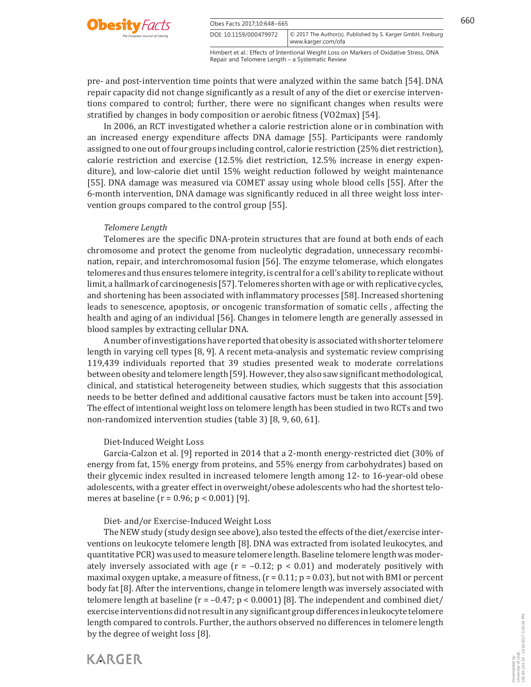

Obes Facts 2017;10:648-665 660 DOI: 10.1159/000479972

Himbert et al.: Effects of Intentional Weight Loss on Markers of Oxidative Stress, DNA Repair and Telomere Length – a Systematic Review

© 2017 The Author(s). Published by S. Karger GmbH, Freiburg

www.karger.com/ofa

pre- and post-intervention time points that were analyzed within the same batch [54] . DNA repair capacity did not change significantly as a result of any of the diet or exercise interventions compared to control; further, there were no significant changes when results were stratified by changes in body composition or aerobic fitness (VO2max) [54] .

 In 2006, an RCT investigated whether a calorie restriction alone or in combination with an increased energy expenditure affects DNA damage [55] . Participants were randomly assigned to one out of four groups including control, calorie restriction (25% diet restriction), calorie restriction and exercise (12.5% diet restriction, 12.5% increase in energy expenditure), and low-calorie diet until 15% weight reduction followed by weight maintenance [55] . DNA damage was measured via COMET assay using whole blood cells [55] . After the 6-month intervention, DNA damage was significantly reduced in all three weight loss intervention groups compared to the control group [55] .

#### *Telomere Length*

 Telomeres are the specific DNA-protein structures that are found at both ends of each chromosome and protect the genome from nucleolytic degradation, unnecessary recombination, repair, and interchromosomal fusion [56] . The enzyme telomerase, which elongates telomeres and thus ensures telomere integrity, is central for a cell's ability to replicate without limit, a hallmark of carcinogenesis [57] . Telomeres shorten with age or with replicative cycles, and shortening has been associated with inflammatory processes [58] . Increased shortening leads to senescence, apoptosis, or oncogenic transformation of somatic cells , affecting the health and aging of an individual [56] . Changes in telomere length are generally assessed in blood samples by extracting cellular DNA.

 A number of investigations have reported that obesity is associated with shorter telomere length in varying cell types [8, 9] . A recent meta-analysis and systematic review comprising 119,439 individuals reported that 39 studies presented weak to moderate correlations between obesity and telomere length [59] . However, they also saw significant methodological, clinical, and statistical heterogeneity between studies, which suggests that this association needs to be better defined and additional causative factors must be taken into account [59] . The effect of intentional weight loss on telomere length has been studied in two RCTs and two non-randomized intervention studies (table 3) [8, 9, 60, 61].

#### Diet-Induced Weight Loss

 Garcia-Calzon et al. [9] reported in 2014 that a 2-month energy-restricted diet (30% of energy from fat, 15% energy from proteins, and 55% energy from carbohydrates) based on their glycemic index resulted in increased telomere length among 12- to 16-year-old obese adolescents, with a greater effect in overweight/obese adolescents who had the shortest telomeres at baseline ( $r = 0.96$ ;  $p < 0.001$ ) [9].

Diet- and/or Exercise-Induced Weight Loss

 The NEW study (study design see above), also tested the effects of the diet/exercise interventions on leukocyte telomere length [8] . DNA was extracted from isolated leukocytes, and quantitative PCR) was used to measure telomere length. Baseline telomere length was moderately inversely associated with age ( $r = -0.12$ ;  $p < 0.01$ ) and moderately positively with maximal oxygen uptake, a measure of fitness,  $(r = 0.11; p = 0.03)$ , but not with BMI or percent body fat [8] . After the interventions, change in telomere length was inversely associated with telomere length at baseline  $(r = -0.47; p < 0.0001)$  [8]. The independent and combined diet/ exercise interventions did not result in any significant group differences in leukocyte telomere length compared to controls. Further, the authors observed no differences in telomere length by the degree of weight loss [8] .



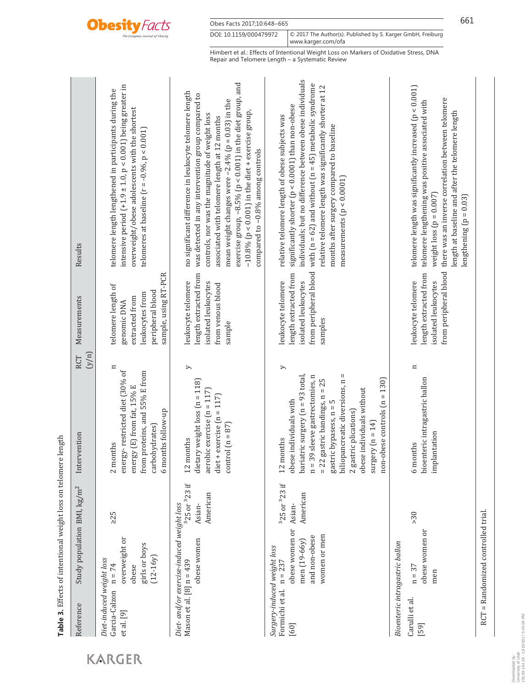

Obes Facts 2017;10:648-665 661

DOI: 10.1159/000479972 www.karger.com/ofa © 2017 The Author(s). Published by S. Karger GmbH, Freiburg

Himbert et al.: Effects of Intentional Weight Loss on Markers of Oxidative Stress, DNA Repair and Telomere Length – a Systematic Review

| Results                                 | intensive period $(+1.9 \pm 1.0, p < 0.001)$ being greater in<br>telomere length lengthened in participants during the<br>overweight/obese adolescents with the shortest<br>telomeres at baseline ( $r = -0.96$ , $p < 0.001$ ) | exercise group, $-8.5\%$ (p < 0.001) in the diet group, and<br>no significant difference in leukocyte telomere length<br>was detected in any intervention group compared to<br>mean weight changes were $-2.4\%$ (p = 0.03) in the<br>$-10.8\%$ (p < 0.001) in the diet + exercise group,<br>controls, nor was the magnitude of weight loss<br>associated with telomere length at 12 months<br>compared to -0.8% among controls | individuals; but no difference between obese individuals<br>with $[n = 62]$ and without $[n = 45]$ metabolic syndrome<br>relative telomere length was significantly shorter at 12<br>significantly shorter (p < 0.0001) than non-obese<br>relative telomere length of obese subjects was<br>months after surgery compared to baseline<br>measurements $(p < 0.0001)$ | telomere length was significantly increased $(p < 0.001)$<br>there was an inverse correlation between telomere<br>telomere lengthening was positive associated with<br>length at baseline and after the telomere length<br>weight loss $(p = 0.007)$<br>lengthening $(p = 0.03)$ |
|-----------------------------------------|---------------------------------------------------------------------------------------------------------------------------------------------------------------------------------------------------------------------------------|---------------------------------------------------------------------------------------------------------------------------------------------------------------------------------------------------------------------------------------------------------------------------------------------------------------------------------------------------------------------------------------------------------------------------------|----------------------------------------------------------------------------------------------------------------------------------------------------------------------------------------------------------------------------------------------------------------------------------------------------------------------------------------------------------------------|----------------------------------------------------------------------------------------------------------------------------------------------------------------------------------------------------------------------------------------------------------------------------------|
|                                         |                                                                                                                                                                                                                                 |                                                                                                                                                                                                                                                                                                                                                                                                                                 |                                                                                                                                                                                                                                                                                                                                                                      |                                                                                                                                                                                                                                                                                  |
| Measurements                            | sample, using RT-PCR<br>telomere length of<br>peripheral blood<br>leukocytes from<br>extracted from<br>genomic DNA                                                                                                              | length extracted from<br>leukocyte telomere<br>isolated leukocytes<br>from venous blood<br>sample                                                                                                                                                                                                                                                                                                                               | from peripheral blood<br>length extracted from<br>leukocyte telomere<br>isolated leukocytes<br>samples                                                                                                                                                                                                                                                               | from peripheral blood<br>length extracted from<br>leukocyte telomere<br>isolated leukocytes                                                                                                                                                                                      |
| (y/n)<br>RCT                            | $\mathbf{u}$                                                                                                                                                                                                                    | $\geq$                                                                                                                                                                                                                                                                                                                                                                                                                          | >                                                                                                                                                                                                                                                                                                                                                                    | $\mathbf{a}$                                                                                                                                                                                                                                                                     |
| Intervention                            | energy-restricted diet (30% of<br>from proteins, and 55% E from<br>energy (E) from fat, 15% E<br>6 months follow-up<br>carbohydrates)<br>2 months                                                                               | dietary weight loss $(n = 118)$<br>aerobic exercise ( $n = 117$ )<br>diet + exercise $(n = 117)$<br>control $(n = 87)$<br>12 months                                                                                                                                                                                                                                                                                             | biliopancreatic diversions, n =<br>$n = 39$ sleeve gastrectomies, n<br>bariatric surgery $(n = 93 \text{ total})$<br>$= 22$ gastric bandings, $n = 25$<br>$non-o$ bese controls ( $n = 130$ )<br>obese individuals without<br>obese individuals with<br>gastric by<br>pasess, $n=5$<br>2 gastric plications)<br>surgery $(n = 14)$<br>12 months                      | bioenteric intragastric ballon<br>implantation<br>6 months                                                                                                                                                                                                                       |
|                                         | $\geq 25$                                                                                                                                                                                                                       | 325 or <sup>3</sup> 23 if<br>American<br>Asian-                                                                                                                                                                                                                                                                                                                                                                                 | <sup>3</sup> 25 or <sup>3</sup> 23 if<br>American                                                                                                                                                                                                                                                                                                                    | >30                                                                                                                                                                                                                                                                              |
| Study population BMI, kg/m <sup>2</sup> | overweight or<br>girls or boys<br>$(12-16y)$<br>$n = 74$<br>obese                                                                                                                                                               | Diet- and/or exercise-induced weight loss<br>obese women                                                                                                                                                                                                                                                                                                                                                                        | obese women or Asian-<br>women or men<br>and non-obese<br>men (19-66y)                                                                                                                                                                                                                                                                                               | obese women or<br>Bioenteric intragastric ballon<br>$n = 37$<br>men                                                                                                                                                                                                              |
| Reference                               | Diet-induced weight loss<br>Garcia-Calzon<br>et al. [9]                                                                                                                                                                         | Mason et al. $[8]$ n = 439                                                                                                                                                                                                                                                                                                                                                                                                      | Surgery-induced weight loss<br>Formichi et al. $n = 237$<br>[60]                                                                                                                                                                                                                                                                                                     | Carulli et al.<br>[59]                                                                                                                                                                                                                                                           |

Table 3. Effects of intentional weight loss on telomere length **Table 3.** Effects of intentional weight loss on telomere length

RCT = Randomized controlled trial.

RCT = Randomized controlled trial.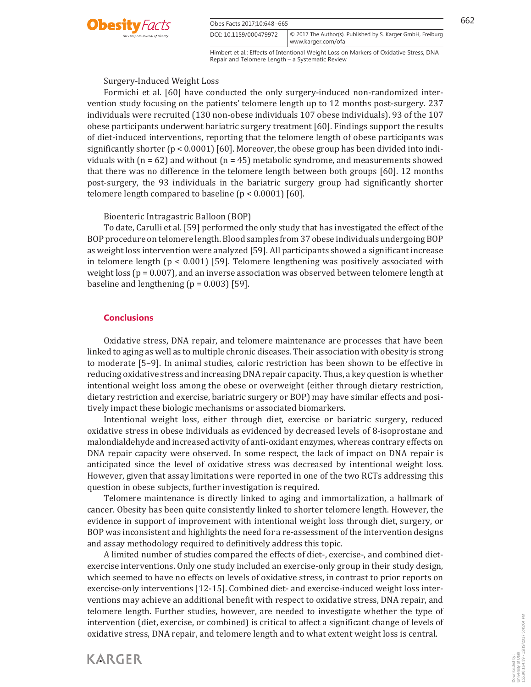

Obes Facts 2017:10:648–665 662

DOI: 10.1159/000479972

Downloaded by: University of Utah

155.98.164.39 - 12/19/2017 5:45:04 PM

Downloaded by:<br>University of Utah<br>155.98.164.39 - 12/19/2017 5:45:04 PM

Himbert et al.: Effects of Intentional Weight Loss on Markers of Oxidative Stress, DNA www.karger.com/ofa

© 2017 The Author(s). Published by S. Karger GmbH, Freiburg

Repair and Telomere Length – a Systematic Review

Surgery-Induced Weight Loss

 Formichi et al. [60] have conducted the only surgery-induced non-randomized intervention study focusing on the patients' telomere length up to 12 months post-surgery. 237 individuals were recruited (130 non-obese individuals 107 obese individuals). 93 of the 107 obese participants underwent bariatric surgery treatment [60] . Findings support the results of diet-induced interventions, reporting that the telomere length of obese participants was significantly shorter  $(p < 0.0001)$  [60]. Moreover, the obese group has been divided into individuals with ( $n = 62$ ) and without ( $n = 45$ ) metabolic syndrome, and measurements showed that there was no difference in the telomere length between both groups [60] . 12 months post-surgery, the 93 individuals in the bariatric surgery group had significantly shorter telomere length compared to baseline  $(p < 0.0001)$  [60].

Bioenteric Intragastric Balloon (BOP)

 To date, Carulli et al. [59] performed the only study that has investigated the effect of the BOP procedure on telomere length. Blood samples from 37 obese individuals undergoing BOP as weight loss intervention were analyzed [59] . All participants showed a significant increase in telomere length ( $p < 0.001$ ) [59]. Telomere lengthening was positively associated with weight loss (p = 0.007), and an inverse association was observed between telomere length at baseline and lengthening ( $p = 0.003$ ) [59].

# **Conclusions**

**KARGER** 

 Oxidative stress, DNA repair, and telomere maintenance are processes that have been linked to aging as well as to multiple chronic diseases. Their association with obesity is strong to moderate [5–9] . In animal studies, caloric restriction has been shown to be effective in reducing oxidative stress and increasing DNA repair capacity. Thus, a key question is whether intentional weight loss among the obese or overweight (either through dietary restriction, dietary restriction and exercise, bariatric surgery or BOP) may have similar effects and positively impact these biologic mechanisms or associated biomarkers.

 Intentional weight loss, either through diet, exercise or bariatric surgery, reduced oxidative stress in obese individuals as evidenced by decreased levels of 8-isoprostane and malondialdehyde and increased activity of anti-oxidant enzymes, whereas contrary effects on DNA repair capacity were observed. In some respect, the lack of impact on DNA repair is anticipated since the level of oxidative stress was decreased by intentional weight loss. However, given that assay limitations were reported in one of the two RCTs addressing this question in obese subjects, further investigation is required.

 Telomere maintenance is directly linked to aging and immortalization, a hallmark of cancer. Obesity has been quite consistently linked to shorter telomere length. However, the evidence in support of improvement with intentional weight loss through diet, surgery, or BOP was inconsistent and highlights the need for a re-assessment of the intervention designs and assay methodology required to definitively address this topic.

 A limited number of studies compared the effects of diet-, exercise-, and combined dietexercise interventions. Only one study included an exercise-only group in their study design, which seemed to have no effects on levels of oxidative stress, in contrast to prior reports on exercise-only interventions [12-15] . Combined diet- and exercise-induced weight loss interventions may achieve an additional benefit with respect to oxidative stress, DNA repair, and telomere length. Further studies, however, are needed to investigate whether the type of intervention (diet, exercise, or combined) is critical to affect a significant change of levels of oxidative stress, DNA repair, and telomere length and to what extent weight loss is central.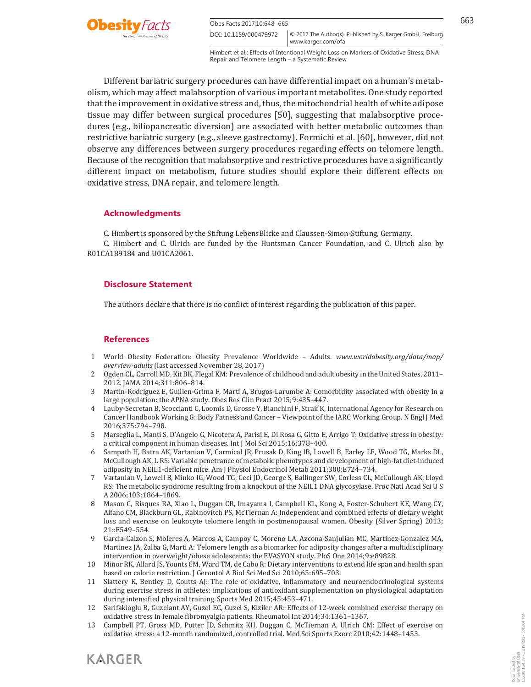

Obes Facts 2017:10:648–665 663 DOI: 10.1159/000479972

Himbert et al.: Effects of Intentional Weight Loss on Markers of Oxidative Stress, DNA Repair and Telomere Length – a Systematic Review

© 2017 The Author(s). Published by S. Karger GmbH, Freiburg

www.karger.com/ofa

 Different bariatric surgery procedures can have differential impact on a human's metabolism, which may affect malabsorption of various important metabolites. One study reported that the improvement in oxidative stress and, thus, the mitochondrial health of white adipose tissue may differ between surgical procedures [50] , suggesting that malabsorptive procedures (e.g., biliopancreatic diversion) are associated with better metabolic outcomes than restrictive bariatric surgery (e.g., sleeve gastrectomy). Formichi et al. [60] , however, did not observe any differences between surgery procedures regarding effects on telomere length. Because of the recognition that malabsorptive and restrictive procedures have a significantly different impact on metabolism, future studies should explore their different effects on oxidative stress, DNA repair, and telomere length.

### **Acknowledgments**

C. Himbert is sponsored by the Stiftung LebensBlicke and Claussen-Simon-Stiftung, Germany.

 C. Himbert and C. Ulrich are funded by the Huntsman Cancer Foundation, and C. Ulrich also by R01CA189184 and U01CA2061.

# **Disclosure Statement**

The authors declare that there is no conflict of interest regarding the publication of this paper.

## **References**

- 1 World Obesity Federation: Obesity Prevalence Worldwide Adults. *www.worldobesity.org/data/map/ overview-adults* (last accessed November 28, 2017)
- 2 Ogden CL, Carroll MD, Kit BK, Flegal KM: Prevalence of childhood and adult obesity in the United States, 2011– 2012. JAMA 2014;311:806–814.
- 3 Martin-Rodriguez E, Guillen-Grima F, Marti A, Brugos-Larumbe A: Comorbidity associated with obesity in a large population: the APNA study. Obes Res Clin Pract 2015;9:435–447.
- 4 Lauby-Secretan B, Scoccianti C, Loomis D, Grosse Y, Bianchini F, Straif K, International Agency for Research on Cancer Handbook Working G: Body Fatness and Cancer – Viewpoint of the IARC Working Group. N Engl J Med 2016;375:794–798.
- 5 Marseglia L, Manti S, D'Angelo G, Nicotera A, Parisi E, Di Rosa G, Gitto E, Arrigo T: Oxidative stress in obesity: a critical component in human diseases. Int J Mol Sci 2015;16:378–400.
- 6 Sampath H, Batra AK, Vartanian V, Carmical JR, Prusak D, King IB, Lowell B, Earley LF, Wood TG, Marks DL, McCullough AK, L RS: Variable penetrance of metabolic phenotypes and development of high-fat diet-induced adiposity in NEIL1-deficient mice. Am J Physiol Endocrinol Metab 2011;300:E724–734.
- 7 Vartanian V, Lowell B, Minko IG, Wood TG, Ceci JD, George S, Ballinger SW, Corless CL, McCullough AK, Lloyd RS: The metabolic syndrome resulting from a knockout of the NEIL1 DNA glycosylase. Proc Natl Acad Sci U S A 2006;103:1864–1869.
- 8 Mason C, Risques RA, Xiao L, Duggan CR, Imayama I, Campbell KL, Kong A, Foster-Schubert KE, Wang CY, Alfano CM, Blackburn GL, Rabinovitch PS, McTiernan A: Independent and combined effects of dietary weight loss and exercise on leukocyte telomere length in postmenopausal women. Obesity (Silver Spring) 2013; 21::E549–554.
- 9 Garcia-Calzon S, Moleres A, Marcos A, Campoy C, Moreno LA, Azcona-Sanjulian MC, Martinez-Gonzalez MA, Martinez JA, Zalba G, Marti A: Telomere length as a biomarker for adiposity changes after a multidisciplinary intervention in overweight/obese adolescents: the EVASYON study. PloS One 2014;9:e89828.
- 10 Minor RK, Allard JS, Younts CM, Ward TM, de Cabo R: Dietary interventions to extend life span and health span based on calorie restriction. J Gerontol A Biol Sci Med Sci 2010;65:695–703.
- 11 Slattery K, Bentley D, Coutts AJ: The role of oxidative, inflammatory and neuroendocrinological systems during exercise stress in athletes: implications of antioxidant supplementation on physiological adaptation during intensified physical training. Sports Med 2015;45:453–471.
- 12 Sarifakioglu B, Guzelant AY, Guzel EC, Guzel S, Kiziler AR: Effects of 12-week combined exercise therapy on oxidative stress in female fibromyalgia patients. Rheumatol Int 2014;34:1361–1367.
- 13 Campbell PT, Gross MD, Potter JD, Schmitz KH, Duggan C, McTiernan A, Ulrich CM: Effect of exercise on oxidative stress: a 12-month randomized, controlled trial. Med Sci Sports Exerc 2010;42:1448–1453.

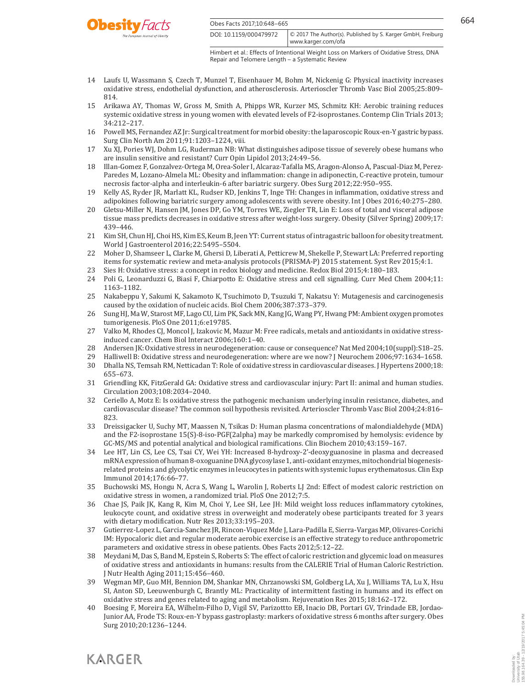



DOI: 10.1159/000479972 www.karger.com/ofa © 2017 The Author(s). Published by S. Karger GmbH, Freiburg

Himbert et al.: Effects of Intentional Weight Loss on Markers of Oxidative Stress, DNA Repair and Telomere Length – a Systematic Review

- 14 Laufs U, Wassmann S, Czech T, Munzel T, Eisenhauer M, Bohm M, Nickenig G: Physical inactivity increases oxidative stress, endothelial dysfunction, and atherosclerosis. Arterioscler Thromb Vasc Biol 2005;25:809– 814.
- 15 Arikawa AY, Thomas W, Gross M, Smith A, Phipps WR, Kurzer MS, Schmitz KH: Aerobic training reduces systemic oxidative stress in young women with elevated levels of F2-isoprostanes. Contemp Clin Trials 2013; 34:212–217.
- 16 Powell MS, Fernandez AZ Jr: Surgical treatment for morbid obesity: the laparoscopic Roux-en-Y gastric bypass. Surg Clin North Am 2011;91:1203–1224, viii.
- 17 Xu XJ, Pories WJ, Dohm LG, Ruderman NB: What distinguishes adipose tissue of severely obese humans who are insulin sensitive and resistant? Curr Opin Lipidol 2013;24:49–56.
- 18 Illan-Gomez F, Gonzalvez-Ortega M, Orea-Soler I, Alcaraz-Tafalla MS, Aragon-Alonso A, Pascual-Diaz M, Perez-Paredes M, Lozano-Almela ML: Obesity and inflammation: change in adiponectin, C-reactive protein, tumour necrosis factor-alpha and interleukin-6 after bariatric surgery. Obes Surg 2012;22:950–955.
- 19 Kelly AS, Ryder JR, Marlatt KL, Rudser KD, Jenkins T, Inge TH: Changes in inflammation, oxidative stress and adipokines following bariatric surgery among adolescents with severe obesity. Int J Obes 2016;40:275–280.
- 20 Gletsu-Miller N, Hansen JM, Jones DP, Go YM, Torres WE, Ziegler TR, Lin E: Loss of total and visceral adipose tissue mass predicts decreases in oxidative stress after weight-loss surgery. Obesity (Silver Spring) 2009;17: 439–446.
- 21 Kim SH, Chun HJ, Choi HS, Kim ES, Keum B, Jeen YT: Current status of intragastric balloon for obesity treatment. World J Gastroenterol 2016;22:5495–5504.
- 22 Moher D, Shamseer L, Clarke M, Ghersi D, Liberati A, Petticrew M, Shekelle P, Stewart LA: Preferred reporting items for systematic review and meta-analysis protocols (PRISMA-P) 2015 statement. Syst Rev 2015;4:1.
- 23 Sies H: Oxidative stress: a concept in redox biology and medicine. Redox Biol 2015;4:180–183.
- 24 Poli G, Leonarduzzi G, Biasi F, Chiarpotto E: Oxidative stress and cell signalling. Curr Med Chem 2004;11: 1163–1182.
- 25 Nakabeppu Y, Sakumi K, Sakamoto K, Tsuchimoto D, Tsuzuki T, Nakatsu Y: Mutagenesis and carcinogenesis caused by the oxidation of nucleic acids. Biol Chem 2006;387:373–379.
- 26 Sung HJ, Ma W, Starost MF, Lago CU, Lim PK, Sack MN, Kang JG, Wang PY, Hwang PM: Ambient oxygen promotes tumorigenesis. PloS One 2011;6:e19785.
- 27 Valko M, Rhodes CJ, Moncol J, Izakovic M, Mazur M: Free radicals, metals and antioxidants in oxidative stressinduced cancer. Chem Biol Interact 2006;160:1–40.
- 28 Andersen JK: Oxidative stress in neurodegeneration: cause or consequence? Nat Med 2004;10(suppl):S18–25.
- 29 Halliwell B: Oxidative stress and neurodegeneration: where are we now? J Neurochem 2006;97:1634–1658.
- 30 Dhalla NS, Temsah RM, Netticadan T: Role of oxidative stress in cardiovascular diseases. J Hypertens 2000;18: 655–673.
- 31 Griendling KK, FitzGerald GA: Oxidative stress and cardiovascular injury: Part II: animal and human studies. Circulation 2003;108:2034–2040.
- 32 Ceriello A, Motz E: Is oxidative stress the pathogenic mechanism underlying insulin resistance, diabetes, and cardiovascular disease? The common soil hypothesis revisited. Arterioscler Thromb Vasc Biol 2004;24:816– 823.
- 33 Dreissigacker U, Suchy MT, Maassen N, Tsikas D: Human plasma concentrations of malondialdehyde (MDA) and the F2-isoprostane 15(S)-8-iso-PGF(2alpha) may be markedly compromised by hemolysis: evidence by GC-MS/MS and potential analytical and biological ramifications. Clin Biochem 2010;43:159–167.
- 34 Lee HT, Lin CS, Lee CS, Tsai CY, Wei YH: Increased 8-hydroxy-2'-deoxyguanosine in plasma and decreased mRNA expression of human 8-oxoguanine DNA glycosylase 1, anti-oxidant enzymes, mitochondrial biogenesisrelated proteins and glycolytic enzymes in leucocytes in patients with systemic lupus erythematosus. Clin Exp Immunol 2014;176:66–77.
- 35 Buchowski MS, Hongu N, Acra S, Wang L, Warolin J, Roberts LJ 2nd: Effect of modest caloric restriction on oxidative stress in women, a randomized trial. PloS One 2012;7:5.
- 36 Chae JS, Paik JK, Kang R, Kim M, Choi Y, Lee SH, Lee JH: Mild weight loss reduces inflammatory cytokines, leukocyte count, and oxidative stress in overweight and moderately obese participants treated for 3 years with dietary modification. Nutr Res 2013;33:195–203.
- 37 Gutierrez-Lopez L, Garcia-Sanchez JR, Rincon-Viquez Mde J, Lara-Padilla E, Sierra-Vargas MP, Olivares-Corichi IM: Hypocaloric diet and regular moderate aerobic exercise is an effective strategy to reduce anthropometric parameters and oxidative stress in obese patients. Obes Facts 2012;5:12–22.
- 38 Meydani M, Das S, Band M, Epstein S, Roberts S: The effect of caloric restriction and glycemic load on measures of oxidative stress and antioxidants in humans: results from the CALERIE Trial of Human Caloric Restriction. J Nutr Health Aging 2011;15:456–460.
- 39 Wegman MP, Guo MH, Bennion DM, Shankar MN, Chrzanowski SM, Goldberg LA, Xu J, Williams TA, Lu X, Hsu SI, Anton SD, Leeuwenburgh C, Brantly ML: Practicality of intermittent fasting in humans and its effect on oxidative stress and genes related to aging and metabolism. Rejuvenation Res 2015;18:162–172.
- 40 Boesing F, Moreira EA, Wilhelm-Filho D, Vigil SV, Parizottto EB, Inacio DB, Portari GV, Trindade EB, Jordao-Junior AA, Frode TS: Roux-en-Y bypass gastroplasty: markers of oxidative stress 6 months after surgery. Obes Surg 2010;20:1236–1244.

Downloaded by: University of Utah

155.98.164.39 - 12/19/2017 5:45:04 PM

Downloaded by:<br>University of Utah<br>155.98.164.39 - 12/19/2017 5:45:04 PM